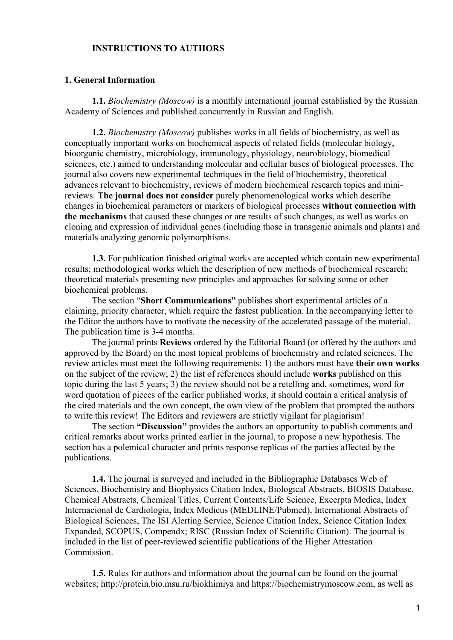### **INSTRUCTIONS TO AUTHORS**

### **1. General Information**

**1.1.** *Biochemistry (Moscow)* is a monthly international journal established by the Russian Academy of Sciences and published concurrently in Russian and English.

**1.2.** *Biochemistry (Moscow)* publishes works in all fields of biochemistry, as well as conceptually important works on biochemical aspects of related fields (molecular biology, bioorganic chemistry, microbiology, immunology, physiology, neurobiology, biomedical sciences, etc.) aimed to understanding molecular and cellular bases of biological processes. The journal also covers new experimental techniques in the field of biochemistry, theoretical advances relevant to biochemistry, reviews of modern biochemical research topics and minireviews. **The journal does not consider** purely phenomenological works which describe changes in biochemical parameters or markers of biological processes **without connection with the mechanisms** that caused these changes or are results of such changes, as well as works on cloning and expression of individual genes (including those in transgenic animals and plants) and materials analyzing genomic polymorphisms.

**1.3.** For publication finished original works are accepted which contain new experimental results; methodological works which the description of new methods of biochemical research; theoretical materials presenting new principles and approaches for solving some or other biochemical problems.

The section "**Short Communications"** publishes short experimental articles of a claiming, priority character, which require the fastest publication. In the accompanying letter to the Editor the authors have to motivate the necessity of the accelerated passage of the material. The publication time is 3-4 months.

The journal prints **Reviews** ordered by the Editorial Board (or offered by the authors and approved by the Board) on the most topical problems of biochemistry and related sciences. The review articles must meet the following requirements: 1) the authors must have **their own works** on the subject of the review; 2) the list of references should include **works** published on this topic during the last 5 years; 3) the review should not be a retelling and, sometimes, word for word quotation of pieces of the earlier published works, it should contain a critical analysis of the cited materials and the own concept, the own view of the problem that prompted the authors to write this review! The Editors and reviewers are strictly vigilant for plagiarism!

The section **"Discussion"** provides the authors an opportunity to publish comments and critical remarks about works printed earlier in the journal, to propose a new hypothesis. The section has a polemical character and prints response replicas of the parties affected by the publications.

**1.4.** The journal is surveyed and included in the Bibliographic Databases Web of Sciences, Biochemistry and Biophysics Citation Index, Biological Abstracts, BIOSIS Database, Chemical Abstracts, Chemical Titles, Current Contents/Life Science, Excerpta Medica, Index Internacional de Cardiologia, Index Medicus (MEDLINE/Pubmed), International Abstracts of Biological Sciences, The ISI Alerting Service, Science Citation Index, Science Citation Index Expanded, SCOPUS, Compendx; RISC (Russian Index of Scientific Citation). The journal is included in the list of peer-reviewed scientific publications of the Higher Attestation Commission.

**1.5.** Rules for authors and information about the journal can be found on the journal websites; http://protein.bio.msu.ru/biokhimiya and https://biochemistrymoscow.com, as well as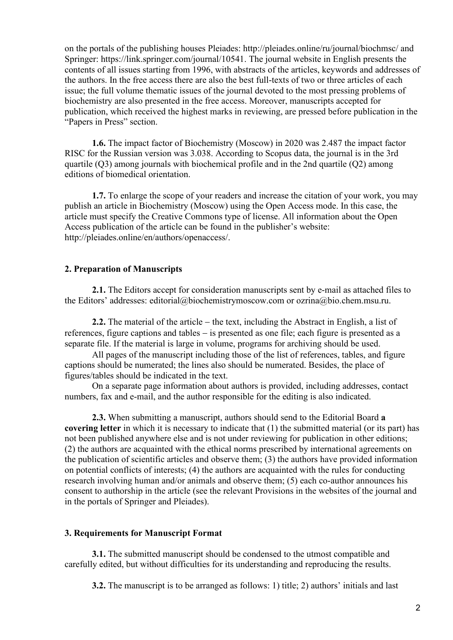on the portals of the publishing houses Pleiades: http://pleiades.online/ru/journal/biochmsc/ and Springer: https://link.springer.com/journal/10541. The journal website in English presents the contents of all issues starting from 1996, with abstracts of the articles, keywords and addresses of the authors. In the free access there are also the best full-texts of two or three articles of each issue; the full volume thematic issues of the journal devoted to the most pressing problems of biochemistry are also presented in the free access. Moreover, manuscripts accepted for publication, which received the highest marks in reviewing, are pressed before publication in the "Papers in Press" section.

**1.6.** The impact factor of Biochemistry (Moscow) in 2020 was 2.487 the impact factor RISC for the Russian version was 3.038. According to Scopus data, the journal is in the 3rd quartile (Q3) among journals with biochemical profile and in the 2nd quartile (Q2) among editions of biomedical orientation.

**1.7.** To enlarge the scope of your readers and increase the citation of your work, you may publish an article in Biochemistry (Moscow) using the Open Access mode. In this case, the article must specify the Creative Commons type of license. All information about the Open Access publication of the article can be found in the publisher's website: http://pleiades.online/en/authors/openaccess/.

## **2. Preparation of Manuscripts**

**2.1.** The Editors accept for consideration manuscripts sent by e-mail as attached files to the Editors' addresses: editorial@biochemistrymoscow.com or ozrina@bio.chem.msu.ru.

**2.2.** The material of the article − the text, including the Abstract in English, a list of references, figure captions and tables − is presented as one file; each figure is presented as a separate file. If the material is large in volume, programs for archiving should be used.

All pages of the manuscript including those of the list of references, tables, and figure captions should be numerated; the lines also should be numerated. Besides, the place of figures/tables should be indicated in the text.

On a separate page information about authors is provided, including addresses, contact numbers, fax and e-mail, and the author responsible for the editing is also indicated.

**2.3.** When submitting a manuscript, authors should send to the Editorial Board **a covering letter** in which it is necessary to indicate that (1) the submitted material (or its part) has not been published anywhere else and is not under reviewing for publication in other editions; (2) the authors are acquainted with the ethical norms prescribed by international agreements on the publication of scientific articles and observe them; (3) the authors have provided information on potential conflicts of interests; (4) the authors are acquainted with the rules for conducting research involving human and/or animals and observe them; (5) each co-author announces his consent to authorship in the article (see the relevant Provisions in the websites of the journal and in the portals of Springer and Pleiades).

### **3. Requirements for Manuscript Format**

**3.1.** The submitted manuscript should be condensed to the utmost compatible and carefully edited, but without difficulties for its understanding and reproducing the results.

**3.2.** The manuscript is to be arranged as follows: 1) title; 2) authors' initials and last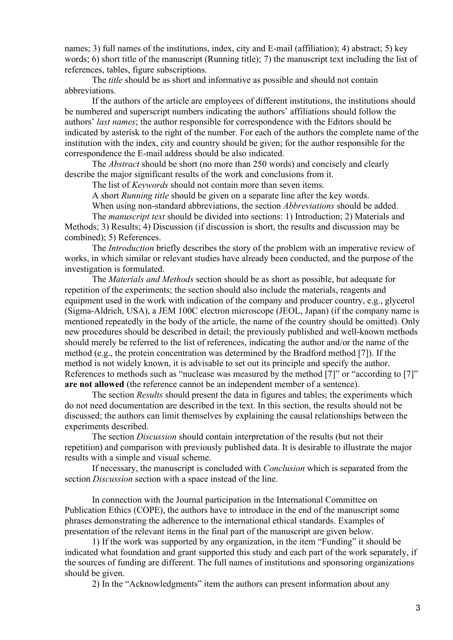names; 3) full names of the institutions, index, city and E-mail (affiliation); 4) abstract; 5) key words; 6) short title of the manuscript (Running title); 7) the manuscript text including the list of references, tables, figure subscriptions.

The *title* should be as short and informative as possible and should not contain abbreviations.

If the authors of the article are employees of different institutions, the institutions should be numbered and superscript numbers indicating the authors' affiliations should follow the authors' *last names*; the author responsible for correspondence with the Editors should be indicated by asterisk to the right of the number. For each of the authors the complete name of the institution with the index, city and country should be given; for the author responsible for the correspondence the E-mail address should be also indicated.

The *Abstract* should be short (no more than 250 words) and concisely and clearly describe the major significant results of the work and conclusions from it.

The list of *Keywords* should not contain more than seven items.

A short *Running title* should be given on a separate line after the key words.

When using non-standard abbreviations, the section *Abbreviations* should be added.

The *manuscript text* should be divided into sections: 1) Introduction; 2) Materials and Methods; 3) Results; 4) Discussion (if discussion is short, the results and discussion may be combined); 5) References.

The *Introduction* briefly describes the story of the problem with an imperative review of works, in which similar or relevant studies have already been conducted, and the purpose of the investigation is formulated.

The *Materials and Methods* section should be as short as possible, but adequate for repetition of the experiments; the section should also include the materials, reagents and equipment used in the work with indication of the company and producer country, e.g., glycerol (Sigma-Aldrich, USA), a JEM 100C electron microscope (JEOL, Japan) (if the company name is mentioned repeatedly in the body of the article, the name of the country should be omitted). Only new procedures should be described in detail; the previously published and well-known methods should merely be referred to the list of references, indicating the author and/or the name of the method (e.g., the protein concentration was determined by the Bradford method [7]). If the method is not widely known, it is advisable to set out its principle and specify the author. References to methods such as "nuclease was measured by the method [7]" or "according to [7]" **are not allowed** (the reference cannot be an independent member of a sentence).

The section *Results* should present the data in figures and tables; the experiments which do not need documentation are described in the text. In this section, the results should not be discussed; the authors can limit themselves by explaining the causal relationships between the experiments described.

The section *Discussion* should contain interpretation of the results (but not their repetition) and comparison with previously published data. It is desirable to illustrate the major results with a simple and visual scheme.

If necessary, the manuscript is concluded with *Conclusion* which is separated from the section *Discussion* section with a space instead of the line.

In connection with the Journal participation in the International Committee on Publication Ethics (COPE), the authors have to introduce in the end of the manuscript some phrases demonstrating the adherence to the international ethical standards. Examples of presentation of the relevant items in the final part of the manuscript are given below.

1) If the work was supported by any organization, in the item "Funding" it should be indicated what foundation and grant supported this study and each part of the work separately, if the sources of funding are different. The full names of institutions and sponsoring organizations should be given.

2) In the "Acknowledgments" item the authors can present information about any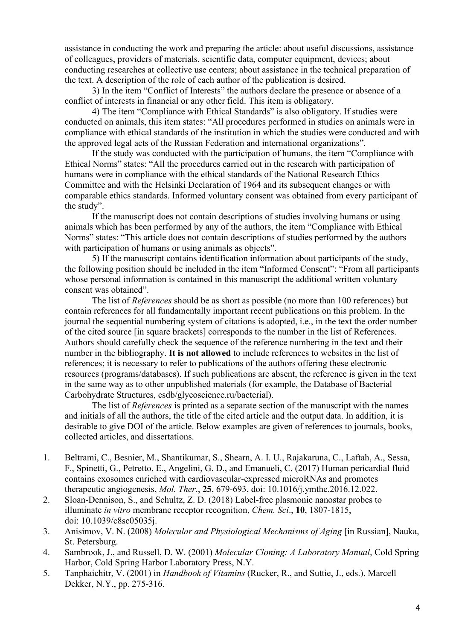assistance in conducting the work and preparing the article: about useful discussions, assistance of colleagues, providers of materials, scientific data, computer equipment, devices; about conducting researches at collective use centers; about assistance in the technical preparation of the text. A description of the role of each author of the publication is desired.

3) In the item "Conflict of Interests" the authors declare the presence or absence of a conflict of interests in financial or any other field. This item is obligatory.

4) The item "Compliance with Ethical Standards" is also obligatory. If studies were conducted on animals, this item states: "All procedures performed in studies on animals were in compliance with ethical standards of the institution in which the studies were conducted and with the approved legal acts of the Russian Federation and international organizations".

If the study was conducted with the participation of humans, the item "Compliance with Ethical Norms" states: "All the procedures carried out in the research with participation of humans were in compliance with the ethical standards of the National Research Ethics Committee and with the Helsinki Declaration of 1964 and its subsequent changes or with comparable ethics standards. Informed voluntary consent was obtained from every participant of the study".

If the manuscript does not contain descriptions of studies involving humans or using animals which has been performed by any of the authors, the item "Compliance with Ethical Norms" states: "This article does not contain descriptions of studies performed by the authors with participation of humans or using animals as objects".

5) If the manuscript contains identification information about participants of the study, the following position should be included in the item "Informed Consent": "From all participants whose personal information is contained in this manuscript the additional written voluntary consent was obtained".

The list of *References* should be as short as possible (no more than 100 references) but contain references for all fundamentally important recent publications on this problem. In the journal the sequential numbering system of citations is adopted, i.e., in the text the order number of the cited source [in square brackets] corresponds to the number in the list of References. Authors should carefully check the sequence of the reference numbering in the text and their number in the bibliography. **It is not allowed** to include references to websites in the list of references; it is necessary to refer to publications of the authors offering these electronic resources (programs/databases). If such publications are absent, the reference is given in the text in the same way as to other unpublished materials (for example, the Database of Bacterial Carbohydrate Structures, csdb/glycoscience.ru/bacterial).

The list of *References* is printed as a separate section of the manuscript with the names and initials of all the authors, the title of the cited article and the output data. In addition, it is desirable to give DOI of the article. Below examples are given of references to journals, books, collected articles, and dissertations.

- 1. Beltrami, C., Besnier, M., Shantikumar, S., Shearn, A. I. U., Rajakaruna, C., Laftah, A., Sessa, F., Spinetti, G., Petretto, E., Angelini, G. D., and Emanueli, C. (2017) Human pericardial fluid contains exosomes enriched with cardiovascular-expressed microRNAs and promotes therapeutic angiogenesis, *Mol. Ther*., **25**, 679-693, doi: 10.1016/j.ymthe.2016.12.022.
- 2. Sloan-Dennison, S., and Schultz, Z. D. (2018) Label-free plasmonic nanostar probes to illuminate *in vitro* membrane receptor recognition, *Chem. Sci*., **10**, 1807-1815, doi: 10.1039/c8sc05035j.
- 3. Anisimov, V. N. (2008) *Molecular and Physiological Mechanisms of Aging* [in Russian], Nauka, St. Petersburg.
- 4. Sambrook, J., and Russell, D. W. (2001) *Molecular Cloning: A Laboratory Manual*, Cold Spring Harbor, Cold Spring Harbor Laboratory Press, N.Y.
- 5. Tanphaichitr, V. (2001) in *Handbook of Vitamins* (Rucker, R., and Suttie, J., eds.), Marcell Dekker, N.Y., pp. 275-316.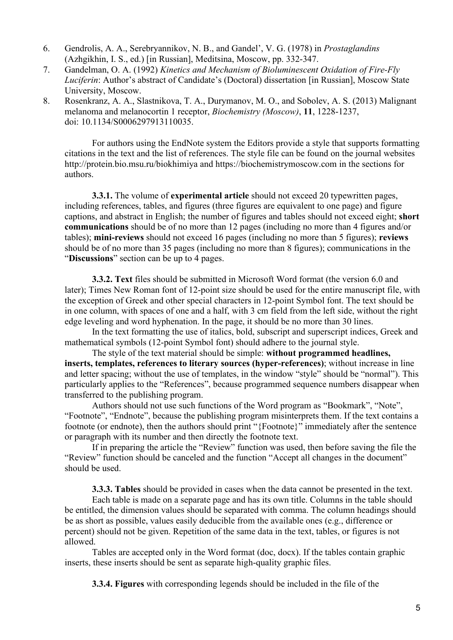- 6. Gendrolis, A. A., Serebryannikov, N. B., and Gandel', V. G. (1978) in *Prostaglandins*  (Azhgikhin, I. S., ed.) [in Russian], Meditsina, Moscow, pp. 332-347.
- 7. Gandelman, O. A. (1992) *Kinetics and Mechanism of Bioluminescent Oxidation of Fire-Fly Luciferin*: Author's abstract of Candidate's (Doctoral) dissertation [in Russian], Moscow State University, Moscow.
- 8. Rosenkranz, A. A., Slastnikova, T. A., Durymanov, M. O., and Sobolev, A. S. (2013) Malignant melanoma and melanocortin 1 receptor, *Biochemistry (Moscow)*, **11**, 1228-1237, doi: 10.1134/S0006297913110035.

For authors using the EndNote system the Editors provide a style that supports formatting citations in the text and the list of references. The style file can be found on the journal websites http://protein.bio.msu.ru/biokhimiya and https://biochemistrymoscow.com in the sections for authors.

**3.3.1.** The volume of **experimental article** should not exceed 20 typewritten pages, including references, tables, and figures (three figures are equivalent to one page) and figure captions, and abstract in English; the number of figures and tables should not exceed eight; **short communications** should be of no more than 12 pages (including no more than 4 figures and/or tables); **mini-reviews** should not exceed 16 pages (including no more than 5 figures); **reviews** should be of no more than 35 pages (including no more than 8 figures); communications in the "**Discussions**" section can be up to 4 pages.

**3.3.2. Text** files should be submitted in Microsoft Word format (the version 6.0 and later); Times New Roman font of 12-point size should be used for the entire manuscript file, with the exception of Greek and other special characters in 12-point Symbol font. The text should be in one column, with spaces of one and a half, with 3 cm field from the left side, without the right edge leveling and word hyphenation. In the page, it should be no more than 30 lines.

In the text formatting the use of italics, bold, subscript and superscript indices, Greek and mathematical symbols (12-point Symbol font) should adhere to the journal style.

The style of the text material should be simple: **without programmed headlines, inserts, templates, references to literary sources (hyper-references)**; without increase in line and letter spacing; without the use of templates, in the window "style" should be "normal"). This particularly applies to the "References", because programmed sequence numbers disappear when transferred to the publishing program.

Authors should not use such functions of the Word program as "Bookmark", "Note", "Footnote", "Endnote", because the publishing program misinterprets them. If the text contains a footnote (or endnote), then the authors should print "{Footnote}" immediately after the sentence or paragraph with its number and then directly the footnote text.

If in preparing the article the "Review" function was used, then before saving the file the "Review" function should be canceled and the function "Accept all changes in the document" should be used.

**3.3.3. Tables** should be provided in cases when the data cannot be presented in the text.

Each table is made on a separate page and has its own title. Columns in the table should be entitled, the dimension values should be separated with comma. The column headings should be as short as possible, values easily deducible from the available ones (e.g., difference or percent) should not be given. Repetition of the same data in the text, tables, or figures is not allowed.

Tables are accepted only in the Word format (doc, docx). If the tables contain graphic inserts, these inserts should be sent as separate high-quality graphic files.

**3.3.4. Figures** with corresponding legends should be included in the file of the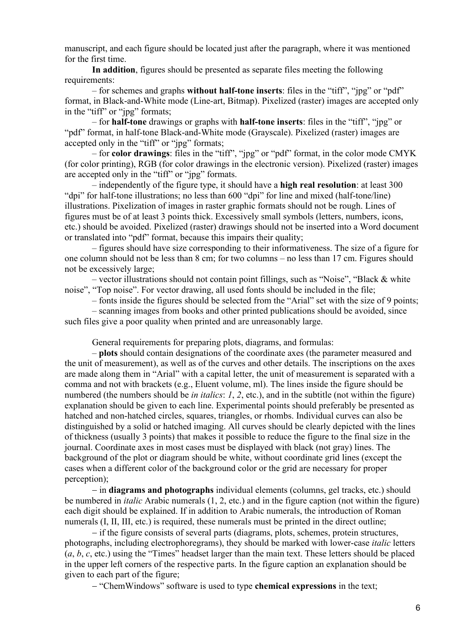manuscript, and each figure should be located just after the paragraph, where it was mentioned for the first time.

**In addition**, figures should be presented as separate files meeting the following requirements:

– for schemes and graphs **without half-tone inserts**: files in the "tiff", "jpg" or "pdf" format, in Black-and-White mode (Line-art, Bitmap). Pixelized (raster) images are accepted only in the "tiff" or "jpg" formats;

– for **half-tone** drawings or graphs with **half-tone inserts**: files in the "tiff", "jpg" or "pdf" format, in half-tone Black-and-White mode (Grayscale). Pixelized (raster) images are accepted only in the "tiff" or "jpg" formats;

– for **color drawings**: files in the "tiff", "jpg" or "pdf" format, in the color mode CMYK (for color printing), RGB (for color drawings in the electronic version). Pixelized (raster) images are accepted only in the "tiff" or "jpg" formats.

– independently of the figure type, it should have a **high real resolution**: at least 300 "dpi" for half-tone illustrations; no less than 600 "dpi" for line and mixed (half-tone/line) illustrations. Pixelization of images in raster graphic formats should not be rough. Lines of figures must be of at least 3 points thick. Excessively small symbols (letters, numbers, icons, etc.) should be avoided. Pixelized (raster) drawings should not be inserted into a Word document or translated into "pdf" format, because this impairs their quality;

– figures should have size corresponding to their informativeness. The size of a figure for one column should not be less than 8 cm; for two columns – no less than 17 cm. Figures should not be excessively large;

– vector illustrations should not contain point fillings, such as "Noise", "Black & white noise", "Top noise". For vector drawing, all used fonts should be included in the file;

– fonts inside the figures should be selected from the "Arial" set with the size of 9 points;

– scanning images from books and other printed publications should be avoided, since such files give a poor quality when printed and are unreasonably large.

General requirements for preparing plots, diagrams, and formulas:

– **plots** should contain designations of the coordinate axes (the parameter measured and the unit of measurement), as well as of the curves and other details. The inscriptions on the axes are made along them in "Arial" with a capital letter, the unit of measurement is separated with a comma and not with brackets (e.g., Eluent volume, ml). The lines inside the figure should be numbered (the numbers should be *in italics*: *1*, *2*, etc.), and in the subtitle (not within the figure) explanation should be given to each line. Experimental points should preferably be presented as hatched and non-hatched circles, squares, triangles, or rhombs. Individual curves can also be distinguished by a solid or hatched imaging. All curves should be clearly depicted with the lines of thickness (usually 3 points) that makes it possible to reduce the figure to the final size in the journal. Coordinate axes in most cases must be displayed with black (not gray) lines. The background of the plot or diagram should be white, without coordinate grid lines (except the cases when a different color of the background color or the grid are necessary for proper perception);

− in **diagrams and photographs** individual elements (columns, gel tracks, etc.) should be numbered in *italic* Arabic numerals (1, 2, etc.) and in the figure caption (not within the figure) each digit should be explained. If in addition to Arabic numerals, the introduction of Roman numerals (I, II, III, etc.) is required, these numerals must be printed in the direct outline;

− if the figure consists of several parts (diagrams, plots, schemes, protein structures, photographs, including electrophoregrams), they should be marked with lower-case *italic* letters (*a*, *b*, *c*, etc.) using the "Times" headset larger than the main text. These letters should be placed in the upper left corners of the respective parts. In the figure caption an explanation should be given to each part of the figure;

− "ChemWindows" software is used to type **chemical expressions** in the text;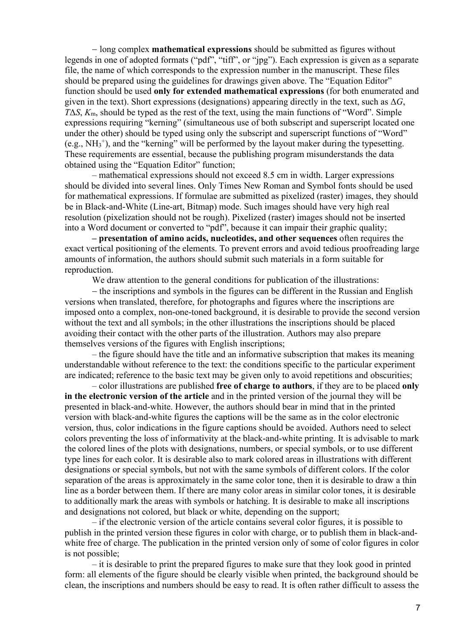− long complex **mathematical expressions** should be submitted as figures without legends in one of adopted formats ("pdf", "tiff", or "jpg"). Each expression is given as a separate file, the name of which corresponds to the expression number in the manuscript. These files should be prepared using the guidelines for drawings given above. The "Equation Editor" function should be used **only for extended mathematical expressions** (for both enumerated and given in the text). Short expressions (designations) appearing directly in the text, such as  $\Delta G$ ,  $T\Delta S$ ,  $K_m$ , should be typed as the rest of the text, using the main functions of "Word". Simple expressions requiring "kerning" (simultaneous use of both subscript and superscript located one under the other) should be typed using only the subscript and superscript functions of "Word" (e.g.,  $NH_3^+$ ), and the "kerning" will be performed by the layout maker during the typesetting. These requirements are essential, because the publishing program misunderstands the data obtained using the "Equation Editor" function;

– mathematical expressions should not exceed 8.5 cm in width. Larger expressions should be divided into several lines. Only Times New Roman and Symbol fonts should be used for mathematical expressions. If formulae are submitted as pixelized (raster) images, they should be in Black-and-White (Line-art, Bitmap) mode. Such images should have very high real resolution (pixelization should not be rough). Pixelized (raster) images should not be inserted into a Word document or converted to "pdf", because it can impair their graphic quality;

**– presentation of amino acids, nucleotides, and other sequences** often requires the exact vertical positioning of the elements. To prevent errors and avoid tedious proofreading large amounts of information, the authors should submit such materials in a form suitable for reproduction.

We draw attention to the general conditions for publication of the illustrations:

− the inscriptions and symbols in the figures can be different in the Russian and English versions when translated, therefore, for photographs and figures where the inscriptions are imposed onto a complex, non-one-toned background, it is desirable to provide the second version without the text and all symbols; in the other illustrations the inscriptions should be placed avoiding their contact with the other parts of the illustration. Authors may also prepare themselves versions of the figures with English inscriptions;

– the figure should have the title and an informative subscription that makes its meaning understandable without reference to the text: the conditions specific to the particular experiment are indicated; reference to the basic text may be given only to avoid repetitions and obscurities;

– color illustrations are published **free of charge to authors**, if they are to be placed **only in the electronic version of the article** and in the printed version of the journal they will be presented in black-and-white. However, the authors should bear in mind that in the printed version with black-and-white figures the captions will be the same as in the color electronic version, thus, color indications in the figure captions should be avoided. Authors need to select colors preventing the loss of informativity at the black-and-white printing. It is advisable to mark the colored lines of the plots with designations, numbers, or special symbols, or to use different type lines for each color. It is desirable also to mark colored areas in illustrations with different designations or special symbols, but not with the same symbols of different colors. If the color separation of the areas is approximately in the same color tone, then it is desirable to draw a thin line as a border between them. If there are many color areas in similar color tones, it is desirable to additionally mark the areas with symbols or hatching. It is desirable to make all inscriptions and designations not colored, but black or white, depending on the support;

– if the electronic version of the article contains several color figures, it is possible to publish in the printed version these figures in color with charge, or to publish them in black-andwhite free of charge. The publication in the printed version only of some of color figures in color is not possible;

– it is desirable to print the prepared figures to make sure that they look good in printed form: all elements of the figure should be clearly visible when printed, the background should be clean, the inscriptions and numbers should be easy to read. It is often rather difficult to assess the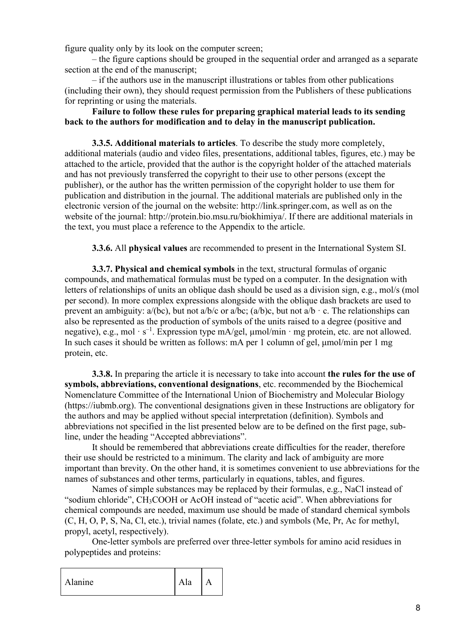figure quality only by its look on the computer screen;

– the figure captions should be grouped in the sequential order and arranged as a separate section at the end of the manuscript;

– if the authors use in the manuscript illustrations or tables from other publications (including their own), they should request permission from the Publishers of these publications for reprinting or using the materials.

# **Failure to follow these rules for preparing graphical material leads to its sending back to the authors for modification and to delay in the manuscript publication.**

**3.3.5. Additional materials to articles**. To describe the study more completely, additional materials (audio and video files, presentations, additional tables, figures, etc.) may be attached to the article, provided that the author is the copyright holder of the attached materials and has not previously transferred the copyright to their use to other persons (except the publisher), or the author has the written permission of the copyright holder to use them for publication and distribution in the journal. The additional materials are published only in the electronic version of the journal on the website: http://link.springer.com, as well as on the website of the journal: http://protein.bio.msu.ru/biokhimiya/. If there are additional materials in the text, you must place a reference to the Appendix to the article.

**3.3.6.** All **physical values** are recommended to present in the International System SI.

**3.3.7. Physical and chemical symbols** in the text, structural formulas of organic compounds, and mathematical formulas must be typed on a computer. In the designation with letters of relationships of units an oblique dash should be used as a division sign, e.g., mol/s (mol per second). In more complex expressions alongside with the oblique dash brackets are used to prevent an ambiguity:  $a/(bc)$ , but not  $a/b/c$  or  $a/bc$ ;  $(a/b)c$ , but not  $a/b \cdot c$ . The relationships can also be represented as the production of symbols of the units raised to a degree (positive and negative), e.g., mol · s<sup>-1</sup>. Expression type mA/gel,  $\mu$ mol/min · mg protein, etc. are not allowed. In such cases it should be written as follows: mA per 1 column of gel, μmol/min per 1 mg protein, etc.

**3.3.8.** In preparing the article it is necessary to take into account **the rules for the use of symbols, abbreviations, conventional designations**, etc. recommended by the Biochemical Nomenclature Committee of the International Union of Biochemistry and Molecular Biology (https://iubmb.org). The conventional designations given in these Instructions are obligatory for the authors and may be applied without special interpretation (definition). Symbols and abbreviations not specified in the list presented below are to be defined on the first page, subline, under the heading "Accepted abbreviations".

It should be remembered that abbreviations create difficulties for the reader, therefore their use should be restricted to a minimum. The clarity and lack of ambiguity are more important than brevity. On the other hand, it is sometimes convenient to use abbreviations for the names of substances and other terms, particularly in equations, tables, and figures.

Names of simple substances may be replaced by their formulas, e.g., NaCl instead of "sodium chloride", CH3COOH or AcOH instead of "acetic acid". When abbreviations for chemical compounds are needed, maximum use should be made of standard chemical symbols (C, H, O, P, S, Na, Cl, etc.), trivial names (folate, etc.) and symbols (Me, Pr, Ac for methyl, propyl, acetyl, respectively).

One-letter symbols are preferred over three-letter symbols for amino acid residues in polypeptides and proteins:

Alanine Ala A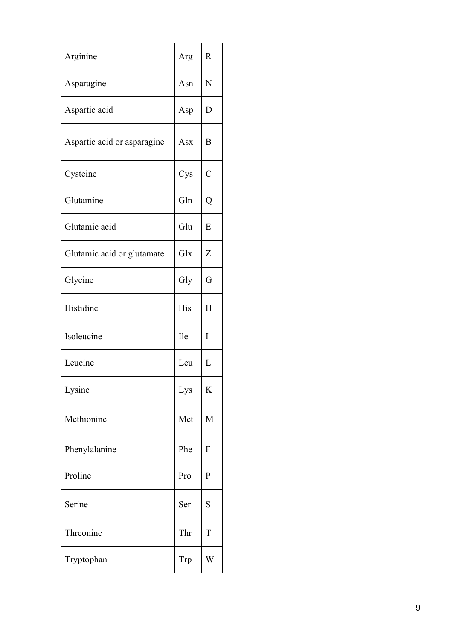| Arginine                    | Arg        | $\mathbf R$    |
|-----------------------------|------------|----------------|
| Asparagine                  | Asn        | N              |
| Aspartic acid               | Asp        | D              |
| Aspartic acid or asparagine | Asx        | B              |
| Cysteine                    | Cys        | $\overline{C}$ |
| Glutamine                   | Gln        | Q              |
| Glutamic acid               | Glu        | E              |
| Glutamic acid or glutamate  | Glx        | Z              |
| Glycine                     | Gly        | G              |
| Histidine                   | His        | H              |
| Isoleucine                  | <b>Ile</b> | I              |
| Leucine                     | Leu        | L              |
| Lysine                      | Lys        | K              |
| Methionine                  | Met        | M              |
| Phenylalanine               | Phe        | F              |
| Proline                     | Pro        | $\mathbf{P}$   |
| Serine                      | Ser        | S              |
| Threonine                   | Thr        | T              |
| Tryptophan                  | Trp        | W              |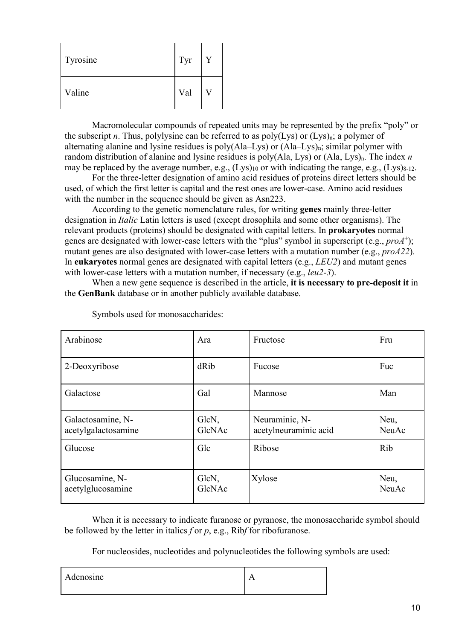| Tyrosine | Tyr | Y |
|----------|-----|---|
| Valine   | Val |   |

Macromolecular compounds of repeated units may be represented by the prefix "poly" or the subscript *n*. Thus, polylysine can be referred to as  $poly(Lys)$  or  $(Lys)_n$ ; a polymer of alternating alanine and lysine residues is poly( $A$ la–Lys) or  $(A$ la–Lys)<sub>n</sub>; similar polymer with random distribution of alanine and lysine residues is poly(Ala, Lys) or (Ala, Lys)<sub>n</sub>. The index *n* may be replaced by the average number, e.g.,  $(Lys)_{10}$  or with indicating the range, e.g.,  $(Lys)_{8-12}$ .

For the three-letter designation of amino acid residues of proteins direct letters should be used, of which the first letter is capital and the rest ones are lower-case. Amino acid residues with the number in the sequence should be given as Asn223.

According to the genetic nomenclature rules, for writing **genes** mainly three-letter designation in *Italic* Latin letters is used (except drosophila and some other organisms). The relevant products (proteins) should be designated with capital letters. In **prokaryotes** normal genes are designated with lower-case letters with the "plus" symbol in superscript (e.g., *proA*+); mutant genes are also designated with lower-case letters with a mutation number (e.g., *proA22*). In **eukaryotes** normal genes are designated with capital letters (e.g., *LEU2*) and mutant genes with lower-case letters with a mutation number, if necessary (e.g., *leu2-3*).

When a new gene sequence is described in the article, **it is necessary to pre-deposit it** in the **GenBank** database or in another publicly available database.

| Arabinose                                | Ara             | Fructose                                | Fru           |
|------------------------------------------|-----------------|-----------------------------------------|---------------|
| 2-Deoxyribose                            | dRib            | Fucose                                  | Fuc           |
| Galactose                                | Gal             | Mannose                                 | Man           |
| Galactosamine, N-<br>acetylgalactosamine | GlcN,<br>GlcNAc | Neuraminic, N-<br>acetylneuraminic acid | Neu,<br>NeuAc |
| Glucose                                  | Glc             | Ribose                                  | Rib           |
| Glucosamine, N-<br>acetylglucosamine     | GlcN,<br>GlcNAc | Xylose                                  | Neu,<br>NeuAc |

Symbols used for monosaccharides:

When it is necessary to indicate furanose or pyranose, the monosaccharide symbol should be followed by the letter in italics *f* or *p*, e.g., Rib*f* for ribofuranose.

For nucleosides, nucleotides and polynucleotides the following symbols are used:

| $\bullet$<br>Adenosine | ¬ |
|------------------------|---|
|                        |   |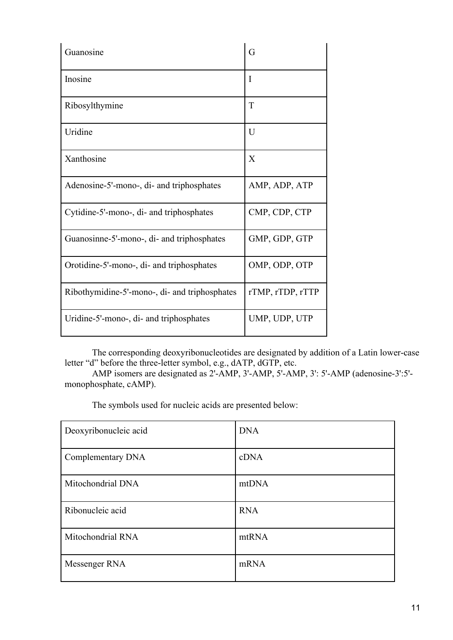| Guanosine                                     | G                |
|-----------------------------------------------|------------------|
| Inosine                                       | I                |
| Ribosylthymine                                | T                |
| Uridine                                       | U                |
| Xanthosine                                    | X                |
| Adenosine-5'-mono-, di- and triphosphates     | AMP, ADP, ATP    |
| Cytidine-5'-mono-, di- and triphosphates      | CMP, CDP, CTP    |
| Guanosinne-5'-mono-, di- and triphosphates    | GMP, GDP, GTP    |
| Orotidine-5'-mono-, di- and triphosphates     | OMP, ODP, OTP    |
| Ribothymidine-5'-mono-, di- and triphosphates | rTMP, rTDP, rTTP |
| Uridine-5'-mono-, di- and triphosphates       | UMP, UDP, UTP    |

The corresponding deoxyribonucleotides are designated by addition of a Latin lower-case letter "d" before the three-letter symbol, e.g., dATP, dGTP, etc.

AMP isomers are designated as 2'-AMP, 3'-AMP, 5'-AMP, 3': 5'-AMP (adenosine-3':5' monophosphate, cAMP).

The symbols used for nucleic acids are presented below:

| Deoxyribonucleic acid | <b>DNA</b> |
|-----------------------|------------|
| Complementary DNA     | cDNA       |
| Mitochondrial DNA     | mtDNA      |
| Ribonucleic acid      | <b>RNA</b> |
| Mitochondrial RNA     | mtRNA      |
| Messenger RNA         | mRNA       |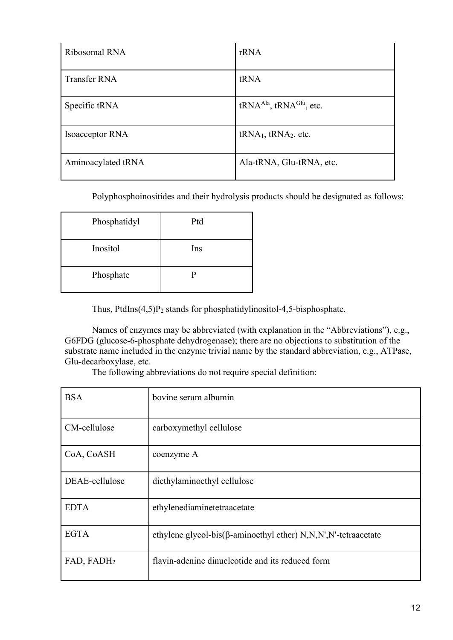| Ribosomal RNA       | rRNA                                             |
|---------------------|--------------------------------------------------|
| <b>Transfer RNA</b> | tRNA                                             |
| Specific tRNA       | tRNA <sup>Ala</sup> , tRNA <sup>Glu</sup> , etc. |
| Isoacceptor RNA     | $tRNA1$ , $tRNA2$ , etc.                         |
| Aminoacylated tRNA  | Ala-tRNA, Glu-tRNA, etc.                         |

Polyphosphoinositides and their hydrolysis products should be designated as follows:

| Phosphatidyl | Ptd |  |
|--------------|-----|--|
| Inositol     | Ins |  |
| Phosphate    |     |  |

Thus, PtdIns $(4,5)P_2$  stands for phosphatidylinositol-4,5-bisphosphate.

Names of enzymes may be abbreviated (with explanation in the "Abbreviations"), e.g., G6FDG (glucose-6-phosphate dehydrogenase); there are no objections to substitution of the substrate name included in the enzyme trivial name by the standard abbreviation, e.g., ATPase, Glu-decarboxylase, etc.

The following abbreviations do not require special definition:

| <b>BSA</b>     | bovine serum albumin                                                   |
|----------------|------------------------------------------------------------------------|
| CM-cellulose   | carboxymethyl cellulose                                                |
| CoA, CoASH     | coenzyme A                                                             |
| DEAE-cellulose | diethylaminoethyl cellulose                                            |
| <b>EDTA</b>    | ethylenediaminetetraacetate                                            |
| <b>EGTA</b>    | ethylene glycol-bis( $\beta$ -aminoethyl ether) N,N,N',N'-tetraacetate |
| FAD, FADH2     | flavin-adenine dinucleotide and its reduced form                       |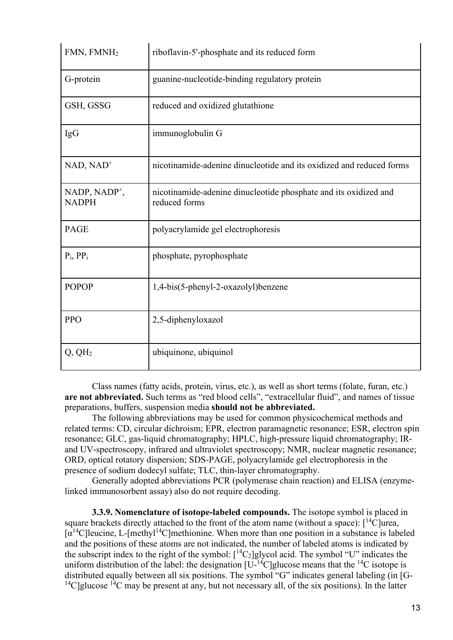| FMN, FMNH <sub>2</sub>           | riboflavin-5'-phosphate and its reduced form                                      |
|----------------------------------|-----------------------------------------------------------------------------------|
| G-protein                        | guanine-nucleotide-binding regulatory protein                                     |
| GSH, GSSG                        | reduced and oxidized glutathione                                                  |
| IgG                              | immunoglobulin G                                                                  |
| $NAD, NAD+$                      | nicotinamide-adenine dinucleotide and its oxidized and reduced forms              |
| NADP, $NADP^+$ ,<br><b>NADPH</b> | nicotinamide-adenine dinucleotide phosphate and its oxidized and<br>reduced forms |
| <b>PAGE</b>                      | polyacrylamide gel electrophoresis                                                |
| $P_i$ , $PP_i$                   | phosphate, pyrophosphate                                                          |
| <b>POPOP</b>                     | 1,4-bis(5-phenyl-2-oxazolyl)benzene                                               |
| <b>PPO</b>                       | 2,5-diphenyloxazol                                                                |
| $Q, QH_2$                        | ubiquinone, ubiquinol                                                             |

Class names (fatty acids, protein, virus, etc.), as well as short terms (folate, furan, etc.) **are not abbreviated.** Such terms as "red blood cells", "extracellular fluid", and names of tissue preparations, buffers, suspension media **should not be abbreviated.**

The following abbreviations may be used for common physicochemical methods and related terms: CD, circular dichroism; EPR, electron paramagnetic resonance; ESR, electron spin resonance; GLC, gas-liquid chromatography; HPLC, high-pressure liquid chromatography; IRand UV-spectroscopy, infrared and ultraviolet spectroscopy; NMR, nuclear magnetic resonance; ORD, optical rotatory dispersion; SDS-PAGE, polyacrylamide gel electrophoresis in the presence of sodium dodecyl sulfate; TLC, thin-layer chromatography.

Generally adopted abbreviations PCR (polymerase chain reaction) and ELISA (enzymelinked immunosorbent assay) also do not require decoding.

**3.3.9. Nomenclature of isotope-labeled compounds.** The isotope symbol is placed in square brackets directly attached to the front of the atom name (without a space):  $\lceil {^{14}C} \rceil$ urea,  $\lceil \alpha^{14} \text{C} \rceil$ leucine, L- $\lceil \text{methlyl}^{14} \text{C} \rceil$ methionine. When more than one position in a substance is labeled and the positions of these atoms are not indicated, the number of labeled atoms is indicated by the subscript index to the right of the symbol:  $[^{14}C_2]$ glycol acid. The symbol "U" indicates the uniform distribution of the label: the designation  $[U^{-14}C]$ glucose means that the <sup>14</sup>C isotope is distributed equally between all six positions. The symbol "G" indicates general labeling (in [G- <sup>14</sup>C]glucose <sup>14</sup>C may be present at any, but not necessary all, of the six positions). In the latter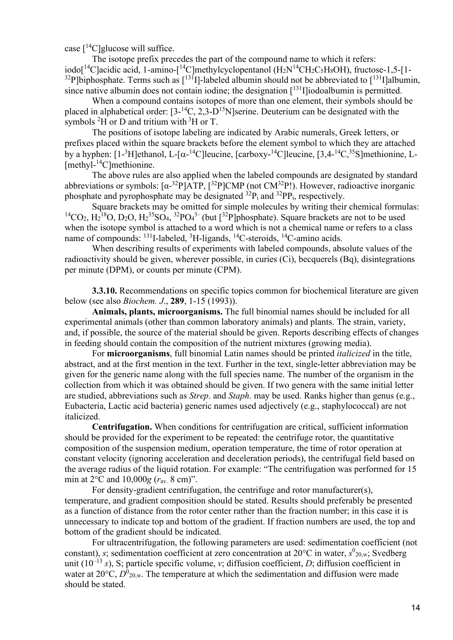case  $[$ <sup>14</sup>C]glucose will suffice.

The isotope prefix precedes the part of the compound name to which it refers: iodo[<sup>14</sup>C]acidic acid, 1-amino-[<sup>14</sup>C]methylcyclopentanol (H<sub>2</sub>N<sup>14</sup>CH<sub>2</sub>C<sub>5</sub>H<sub>8</sub>OH), fructose-1,5-[1-<sup>32</sup>P]biphosphate. Terms such as  $\lceil$ <sup>131</sup>I]-labeled albumin should not be abbreviated to  $\lceil$ <sup>131</sup>I]albumin, since native albumin does not contain iodine; the designation  $\lceil 131 \rceil$  iodoalbumin is permitted.

When a compound contains isotopes of more than one element, their symbols should be placed in alphabetical order:  $[3^{-14}C, 2,3-D^{15}N]$ serine. Deuterium can be designated with the symbols  ${}^{2}$ H or D and tritium with  ${}^{3}$ H or T.

The positions of isotope labeling are indicated by Arabic numerals, Greek letters, or prefixes placed within the square brackets before the element symbol to which they are attached by a hyphen: [1-<sup>3</sup>H]ethanol, L-[ $\alpha$ -<sup>14</sup>C]leucine, [carboxy-<sup>14</sup>C]leucine, [3,4-<sup>14</sup>C,<sup>35</sup>S]methionine, L-[methyl-<sup>14</sup>C]methionine.

The above rules are also applied when the labeled compounds are designated by standard abbreviations or symbols:  $[\alpha^{-32}P]ATP$ ,  $[^{32}P]CMP$  (not CM<sup>32</sup>P!). However, radioactive inorganic phosphate and pyrophosphate may be designated  $3^{2}P_{i}$  and  $3^{2}PP_{i}$ , respectively.

Square brackets may be omitted for simple molecules by writing their chemical formulas: <sup>14</sup>CO<sub>2</sub>, H<sub>2</sub><sup>18</sup>O, D<sub>2</sub>O, H<sub>2</sub><sup>35</sup>SO<sub>4</sub>, <sup>32</sup>PO<sub>4</sub><sup>3–</sup>(but [<sup>32</sup>P]phosphate). Square brackets are not to be used when the isotope symbol is attached to a word which is not a chemical name or refers to a class name of compounds: <sup>131</sup>I-labeled, <sup>3</sup>H-ligands, <sup>14</sup>C-steroids, <sup>14</sup>C-amino acids.

When describing results of experiments with labeled compounds, absolute values of the radioactivity should be given, wherever possible, in curies (Ci), becquerels (Bq), disintegrations per minute (DPM), or counts per minute (CPM).

**3.3.10.** Recommendations on specific topics common for biochemical literature are given below (see also *Biochem. J*., **289**, 1-15 (1993)).

**Animals, plants, microorganisms.** The full binomial names should be included for all experimental animals (other than common laboratory animals) and plants. The strain, variety, and, if possible, the source of the material should be given. Reports describing effects of changes in feeding should contain the composition of the nutrient mixtures (growing media).

For **microorganisms**, full binomial Latin names should be printed *italicized* in the title, abstract, and at the first mention in the text. Further in the text, single-letter abbreviation may be given for the generic name along with the full species name. The number of the organism in the collection from which it was obtained should be given. If two genera with the same initial letter are studied, abbreviations such as *Strep*. and *Staph*. may be used. Ranks higher than genus (e.g., Eubacteria, Lactic acid bacteria) generic names used adjectively (e.g., staphylococcal) are not italicized.

**Centrifugation.** When conditions for centrifugation are critical, sufficient information should be provided for the experiment to be repeated: the centrifuge rotor, the quantitative composition of the suspension medium, operation temperature, the time of rotor operation at constant velocity (ignoring acceleration and deceleration periods), the centrifugal field based on the average radius of the liquid rotation. For example: "The centrifugation was performed for 15 min at 2°С and 10,000*g* (*r*av. 8 cm)".

For density-gradient centrifugation, the centrifuge and rotor manufacturer(s), temperature, and gradient composition should be stated. Results should preferably be presented as a function of distance from the rotor center rather than the fraction number; in this case it is unnecessary to indicate top and bottom of the gradient. If fraction numbers are used, the top and bottom of the gradient should be indicated.

For ultracentrifugation, the following parameters are used: sedimentation coefficient (not constant), *s*; sedimentation coefficient at zero concentration at 20°C in water, *s*<sup>0</sup><sub>20,w</sub>; Svedberg unit (10–13 *s*), S; particle specific volume, *v*; diffusion coefficient, *D*; diffusion coefficient in water at  $20^{\circ}$ C,  $D^{0}_{20,w}$ . The temperature at which the sedimentation and diffusion were made should be stated.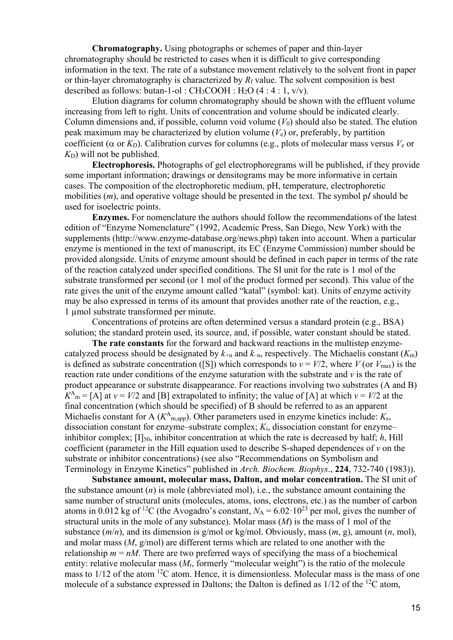**Chromatography.** Using photographs or schemes of paper and thin-layer chromatography should be restricted to cases when it is difficult to give corresponding information in the text. The rate of a substance movement relatively to the solvent front in paper or thin-layer chromatography is characterized by  $R_f$  value. The solvent composition is best described as follows: butan-1-ol :  $CH_3COOH$  :  $H_2O$  (4 : 4 : 1, v/v).

Elution diagrams for column chromatography should be shown with the effluent volume increasing from left to right. Units of concentration and volume should be indicated clearly. Column dimensions and, if possible, column void volume  $(V_0)$  should also be stated. The elution peak maximum may be characterized by elution volume (*V*e) or, preferably, by partition coefficient (α or *K*D). Calibration curves for columns (e.g., plots of molecular mass versus *V*<sup>e</sup> or  $K_D$ ) will not be published.

**Electrophoresis.** Photographs of gel electrophoregrams will be published, if they provide some important information; drawings or densitograms may be more informative in certain cases. The composition of the electrophoretic medium, pH, temperature, electrophoretic mobilities (*m*), and operative voltage should be presented in the text. The symbol p*I* should be used for isoelectric points.

**Enzymes.** For nomenclature the authors should follow the recommendations of the latest edition of "Enzyme Nomenclature" (1992, Academic Press, San Diego, New York) with the supplements (http://www.enzyme-database.org/news.php) taken into account. When a particular enzyme is mentioned in the text of manuscript, its EC (Enzyme Commission) number should be provided alongside. Units of enzyme amount should be defined in each paper in terms of the rate of the reaction catalyzed under specified conditions. The SI unit for the rate is 1 mol of the substrate transformed per second (or 1 mol of the product formed per second). This value of the rate gives the unit of the enzyme amount called "katal" (symbol: kat). Units of enzyme activity may be also expressed in terms of its amount that provides another rate of the reaction, e.g., 1 µmol substrate transformed per minute.

Concentrations of proteins are often determined versus a standard protein (e.g., BSA) solution; the standard protein used, its source, and, if possible, water constant should be stated.

**The rate constants** for the forward and backward reactions in the multistep enzymecatalyzed process should be designated by  $k_{+n}$  and  $k_{-n}$ , respectively. The Michaelis constant  $(K_{m})$ is defined as substrate concentration ([S]) which corresponds to  $v = V/2$ , where *V* (or  $V_{\text{max}}$ ) is the reaction rate under conditions of the enzyme saturation with the substrate and *v* is the rate of product appearance or substrate disappearance. For reactions involving two substrates (A and B)  $K<sup>A</sup><sub>m</sub> = [A]$  at  $v = V/2$  and [B] extrapolated to infinity; the value of [A] at which  $v = V/2$  at the final concentration (which should be specified) of B should be referred to as an apparent Michaelis constant for A  $(K^A_{m,app})$ . Other parameters used in enzyme kinetics include:  $K_s$ , dissociation constant for enzyme–substrate complex; *K*i, dissociation constant for enzyme– inhibitor complex;  $[I]_{50}$ , inhibitor concentration at which the rate is decreased by half; *h*, Hill coefficient (parameter in the Hill equation used to describe S-shaped dependences of *v* on the substrate or inhibitor concentrations) (see also "Recommendations on Symbolism and Terminology in Enzyme Kinetics" published in *Arch. Biochem. Biophys*., **224**, 732-740 (1983)).

**Substance amount, molecular mass, Dalton, and molar concentration.** The SI unit of the substance amount  $(n)$  is mole (abbreviated mol), i.e., the substance amount containing the same number of structural units (molecules, atoms, ions, electrons, etc.) as the number of carbon atoms in 0.012 kg of <sup>12</sup>C (the Avogadro's constant,  $N_A = 6.02 \cdot 10^{23}$  per mol, gives the number of structural units in the mole of any substance). Molar mass (*M*) is the mass of 1 mol of the substance  $(m/n)$ , and its dimension is g/mol or kg/mol. Obviously, mass  $(m, g)$ , amount  $(n, mol)$ , and molar mass (*M*, g/mol) are different terms which are related to one another with the relationship  $m = nM$ . There are two preferred ways of specifying the mass of a biochemical entity: relative molecular mass (*M*r, formerly "molecular weight") is the ratio of the molecule mass to  $1/12$  of the atom  $12C$  atom. Hence, it is dimensionless. Molecular mass is the mass of one molecule of a substance expressed in Daltons; the Dalton is defined as  $1/12$  of the <sup>12</sup>C atom,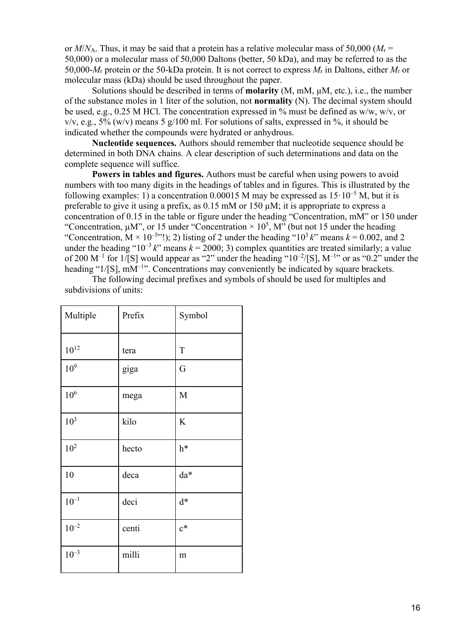or *M*/*N*A. Thus, it may be said that a protein has a relative molecular mass of 50,000 (*M*<sup>r</sup> = 50,000) or a molecular mass of 50,000 Daltons (better, 50 kDa), and may be referred to as the 50,000-*M*<sup>r</sup> protein or the 50-kDa protein. It is not correct to express *M*<sup>r</sup> in Daltons, either *M*<sup>r</sup> or molecular mass (kDa) should be used throughout the paper.

Solutions should be described in terms of **molarity** (M, mM, µM, etc.), i.e., the number of the substance moles in 1 liter of the solution, not **normality** (N). The decimal system should be used, e.g., 0.25 M HCl. The concentration expressed in % must be defined as w/w, w/v, or  $v/v$ , e.g., 5% (w/v) means 5 g/100 ml. For solutions of salts, expressed in %, it should be indicated whether the compounds were hydrated or anhydrous.

**Nucleotide sequences.** Authors should remember that nucleotide sequence should be determined in both DNA chains. A clear description of such determinations and data on the complete sequence will suffice.

**Powers in tables and figures.** Authors must be careful when using powers to avoid numbers with too many digits in the headings of tables and in figures. This is illustrated by the following examples: 1) a concentration 0.00015 M may be expressed as  $15 \cdot 10^{-5}$  M, but it is preferable to give it using a prefix, as 0.15 mM or 150 µM; it is appropriate to express a concentration of 0.15 in the table or figure under the heading "Concentration, mM" or 150 under "Concentration,  $\mu$ M", or 15 under "Concentration  $\times$  10<sup>5</sup>, M" (but not 15 under the heading "Concentration,  $M \times 10^{-5}$ "!); 2) listing of 2 under the heading "10<sup>3</sup> k" means  $k = 0.002$ , and 2 under the heading " $10^{-3}$  *k*" means  $k = 2000$ ; 3) complex quantities are treated similarly; a value of 200  $M^{-1}$  for 1/[S] would appear as "2" under the heading "10<sup>-2</sup>/[S],  $M^{-1}$ " or as "0.2" under the heading "1/[S], mM<sup>-1</sup>". Concentrations may conveniently be indicated by square brackets.

| Multiple        | Prefix | Symbol      |
|-----------------|--------|-------------|
| $10^{12}$       | tera   | $\mathbf T$ |
| 10 <sup>9</sup> | giga   | G           |
| $10^6$          | mega   | M           |
| 10 <sup>3</sup> | kilo   | $\rm K$     |
| 10 <sup>2</sup> | hecto  | h*          |
| 10              | deca   | da*         |
| $10^{\rm -1}$   | deci   | $d^*$       |
| $10^{-2}$       | centi  | $c^*$       |
| $10^{-3}$       | milli  | m           |

The following decimal prefixes and symbols of should be used for multiples and subdivisions of units: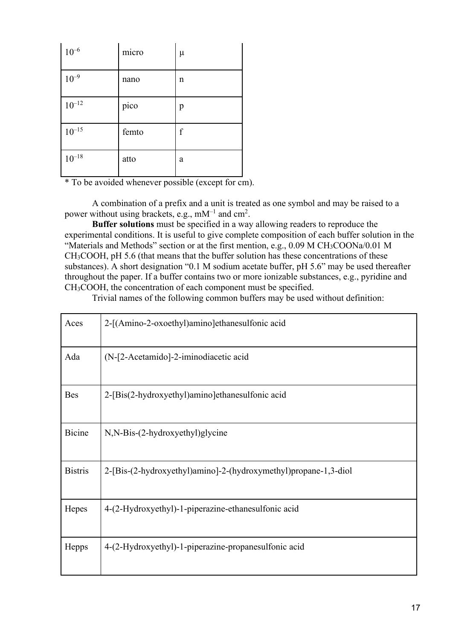| $10^{-6}$    | micro | $\mu$       |
|--------------|-------|-------------|
| $10^{-9}$    | nano  | $\mathbf n$ |
| $10^{-12}$   | pico  | p           |
| $10^{-15}\,$ | femto | $\rm f$     |
| $10^{-18}\,$ | atto  | a           |

\* To be avoided whenever possible (except for cm).

A combination of a prefix and a unit is treated as one symbol and may be raised to a power without using brackets, e.g., mM<sup>-1</sup> and cm<sup>2</sup>.

**Buffer solutions** must be specified in a way allowing readers to reproduce the experimental conditions. It is useful to give complete composition of each buffer solution in the "Materials and Methods" section or at the first mention, e.g., 0.09 M CH<sub>3</sub>COONa/0.01 M CH3COOH, pH 5.6 (that means that the buffer solution has these concentrations of these substances). A short designation "0.1 M sodium acetate buffer, pH 5.6" may be used thereafter throughout the paper. If a buffer contains two or more ionizable substances, e.g., pyridine and CH3COOH, the concentration of each component must be specified.

Trivial names of the following common buffers may be used without definition:

| Aces           | 2-[(Amino-2-oxoethyl)amino]ethanesulfonic acid                  |
|----------------|-----------------------------------------------------------------|
| Ada            | (N-[2-Acetamido]-2-iminodiacetic acid                           |
| <b>Bes</b>     | 2-[Bis(2-hydroxyethyl)amino]ethanesulfonic acid                 |
| <b>Bicine</b>  | N,N-Bis-(2-hydroxyethyl)glycine                                 |
| <b>Bistris</b> | 2-[Bis-(2-hydroxyethyl)amino]-2-(hydroxymethyl)propane-1,3-diol |
| Hepes          | 4-(2-Hydroxyethyl)-1-piperazine-ethanesulfonic acid             |
| Hepps          | 4-(2-Hydroxyethyl)-1-piperazine-propanesulfonic acid            |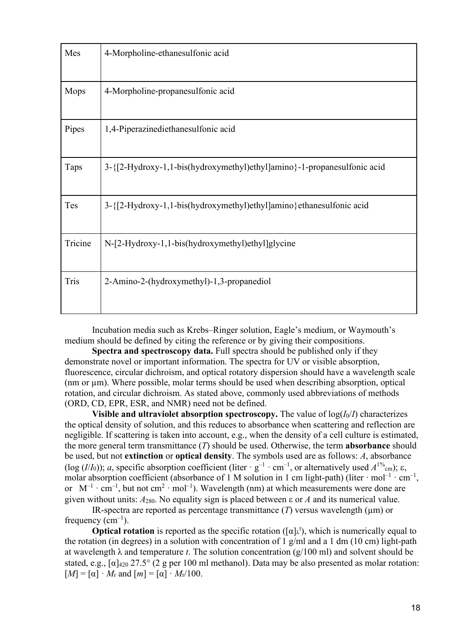| Mes     | 4-Morpholine-ethanesulfonic acid                                        |
|---------|-------------------------------------------------------------------------|
| Mops    | 4-Morpholine-propanesulfonic acid                                       |
| Pipes   | 1,4-Piperazinediethanesulfonic acid                                     |
| Taps    | 3-{[2-Hydroxy-1,1-bis(hydroxymethyl)ethyl]amino}-1-propanesulfonic acid |
| Tes     | 3-{[2-Hydroxy-1,1-bis(hydroxymethyl)ethyl]amino} ethanesulfonic acid    |
| Tricine | N-[2-Hydroxy-1,1-bis(hydroxymethyl)ethyl]glycine                        |
| Tris    | 2-Amino-2-(hydroxymethyl)-1,3-propanediol                               |

Incubation media such as Krebs–Ringer solution, Eagle's medium, or Waymouth's medium should be defined by citing the reference or by giving their compositions.

**Spectra and spectroscopy data.** Full spectra should be published only if they demonstrate novel or important information. The spectra for UV or visible absorption, fluorescence, circular dichroism, and optical rotatory dispersion should have a wavelength scale (nm or µm). Where possible, molar terms should be used when describing absorption, optical rotation, and circular dichroism. As stated above, commonly used abbreviations of methods (ORD, CD, EPR, ESR, and NMR) need not be defined.

**Visible and ultraviolet absorption spectroscopy.** The value of  $log(I_0/I)$  characterizes the optical density of solution, and this reduces to absorbance when scattering and reflection are negligible. If scattering is taken into account, e.g., when the density of a cell culture is estimated, the more general term transmittance (*T*) should be used. Otherwise, the term **absorbance** should be used, but not **extinction** or **optical density**. The symbols used are as follows: *A*, absorbance (log (*I*/*I*<sub>0</sub>)); *a*, specific absorption coefficient (liter  $\cdot$  g<sup>-1</sup>  $\cdot$  cm<sup>-1</sup>, or alternatively used  $A^{1\%}$ <sub>cm</sub>);  $\varepsilon$ , molar absorption coefficient (absorbance of 1 M solution in 1 cm light-path) (liter  $\cdot$  mol<sup>-1</sup>  $\cdot$  cm<sup>-1</sup>, or  $M^{-1} \cdot cm^{-1}$ , but not cm<sup>2</sup> · mol<sup>-1</sup>). Wavelength (nm) at which measurements were done are given without units:  $A_{280}$ . No equality sign is placed between  $\varepsilon$  or  $A$  and its numerical value.

IR-spectra are reported as percentage transmittance  $(T)$  versus wavelength  $(\mu m)$  or frequency  $(cm<sup>-1</sup>)$ .

**Optical rotation** is reported as the specific rotation ( $[\alpha]_k$ <sup>t</sup>), which is numerically equal to the rotation (in degrees) in a solution with concentration of 1 g/ml and a 1 dm (10 cm) light-path at wavelength  $\lambda$  and temperature *t*. The solution concentration ( $g/100$  ml) and solvent should be stated, e.g.,  $\lceil \alpha \rceil_{420}$  27.5° (2 g per 100 ml methanol). Data may be also presented as molar rotation:  $[M] = [\alpha] \cdot M_r$  and  $[m] = [\alpha] \cdot M_r/100$ .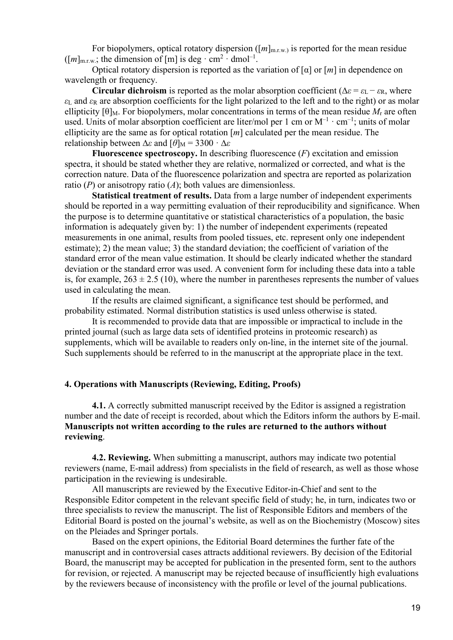For biopolymers, optical rotatory dispersion  $([m]_{m,r,w}$  is reported for the mean residue  $([m]_{m.r.w.};$  the dimension of [m] is deg  $\cdot$  cm<sup>2</sup>  $\cdot$  dmol<sup>-1</sup>.

Optical rotatory dispersion is reported as the variation of [α] or [*m*] in dependence on wavelength or frequency.

**Circular dichroism** is reported as the molar absorption coefficient ( $\Delta \varepsilon = \varepsilon_L - \varepsilon_R$ , where *ε*<sup>L</sup> and *ε*<sup>R</sup> are absorption coefficients for the light polarized to the left and to the right) or as molar ellipticity  $[\theta]_M$ . For biopolymers, molar concentrations in terms of the mean residue  $M_r$  are often used. Units of molar absorption coefficient are liter/mol per 1 cm or  $M^{-1} \cdot cm^{-1}$ ; units of molar ellipticity are the same as for optical rotation [*m*] calculated per the mean residue. The relationship between  $\Delta \varepsilon$  and  $[\theta]_M = 3300 \cdot \Delta \varepsilon$ 

**Fluorescence spectroscopy.** In describing fluorescence (*F*) excitation and emission spectra, it should be stated whether they are relative, normalized or corrected, and what is the correction nature. Data of the fluorescence polarization and spectra are reported as polarization ratio (*P*) or anisotropy ratio (*A*); both values are dimensionless.

**Statistical treatment of results.** Data from a large number of independent experiments should be reported in a way permitting evaluation of their reproducibility and significance. When the purpose is to determine quantitative or statistical characteristics of a population, the basic information is adequately given by: 1) the number of independent experiments (repeated measurements in one animal, results from pooled tissues, etc. represent only one independent estimate); 2) the mean value; 3) the standard deviation; the coefficient of variation of the standard error of the mean value estimation. It should be clearly indicated whether the standard deviation or the standard error was used. A convenient form for including these data into a table is, for example,  $263 \pm 2.5$  (10), where the number in parentheses represents the number of values used in calculating the mean.

If the results are claimed significant, a significance test should be performed, and probability estimated. Normal distribution statistics is used unless otherwise is stated.

It is recommended to provide data that are impossible or impractical to include in the printed journal (such as large data sets of identified proteins in proteomic research) as supplements, which will be available to readers only on-line, in the internet site of the journal. Such supplements should be referred to in the manuscript at the appropriate place in the text.

#### **4. Operations with Manuscripts (Reviewing, Editing, Proofs)**

**4.1.** A correctly submitted manuscript received by the Editor is assigned a registration number and the date of receipt is recorded, about which the Editors inform the authors by E-mail. **Manuscripts not written according to the rules are returned to the authors without reviewing**.

**4.2. Reviewing.** When submitting a manuscript, authors may indicate two potential reviewers (name, E-mail address) from specialists in the field of research, as well as those whose participation in the reviewing is undesirable.

All manuscripts are reviewed by the Executive Editor-in-Chief and sent to the Responsible Editor competent in the relevant specific field of study; he, in turn, indicates two or three specialists to review the manuscript. The list of Responsible Editors and members of the Editorial Board is posted on the journal's website, as well as on the Biochemistry (Moscow) sites on the Pleiades and Springer portals.

Based on the expert opinions, the Editorial Board determines the further fate of the manuscript and in controversial cases attracts additional reviewers. By decision of the Editorial Board, the manuscript may be accepted for publication in the presented form, sent to the authors for revision, or rejected. A manuscript may be rejected because of insufficiently high evaluations by the reviewers because of inconsistency with the profile or level of the journal publications.